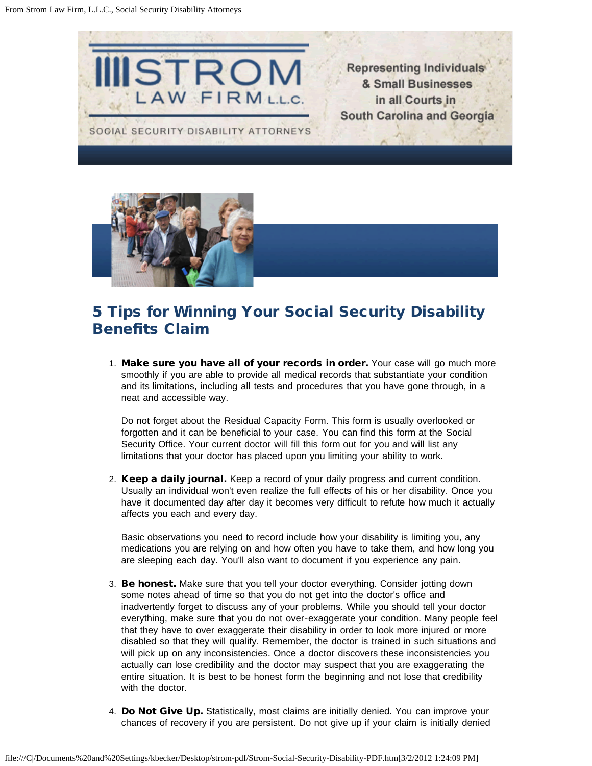



## 5 Tips for Winning Your Social Security Disability Benefits Claim

1. Make sure you have all of your records in order. Your case will go much more smoothly if you are able to provide all medical records that substantiate your condition and its limitations, including all tests and procedures that you have gone through, in a neat and accessible way.

Do not forget about the Residual Capacity Form. This form is usually overlooked or forgotten and it can be beneficial to your case. You can find this form at the Social Security Office. Your current doctor will fill this form out for you and will list any limitations that your doctor has placed upon you limiting your ability to work.

2. Keep a daily journal. Keep a record of your daily progress and current condition. Usually an individual won't even realize the full effects of his or her disability. Once you have it documented day after day it becomes very difficult to refute how much it actually affects you each and every day.

Basic observations you need to record include how your disability is limiting you, any medications you are relying on and how often you have to take them, and how long you are sleeping each day. You'll also want to document if you experience any pain.

- 3. Be honest. Make sure that you tell your doctor everything. Consider jotting down some notes ahead of time so that you do not get into the doctor's office and inadvertently forget to discuss any of your problems. While you should tell your doctor everything, make sure that you do not over-exaggerate your condition. Many people feel that they have to over exaggerate their disability in order to look more injured or more disabled so that they will qualify. Remember, the doctor is trained in such situations and will pick up on any inconsistencies. Once a doctor discovers these inconsistencies you actually can lose credibility and the doctor may suspect that you are exaggerating the entire situation. It is best to be honest form the beginning and not lose that credibility with the doctor.
- 4. Do Not Give Up. Statistically, most claims are initially denied. You can improve your chances of recovery if you are persistent. Do not give up if your claim is initially denied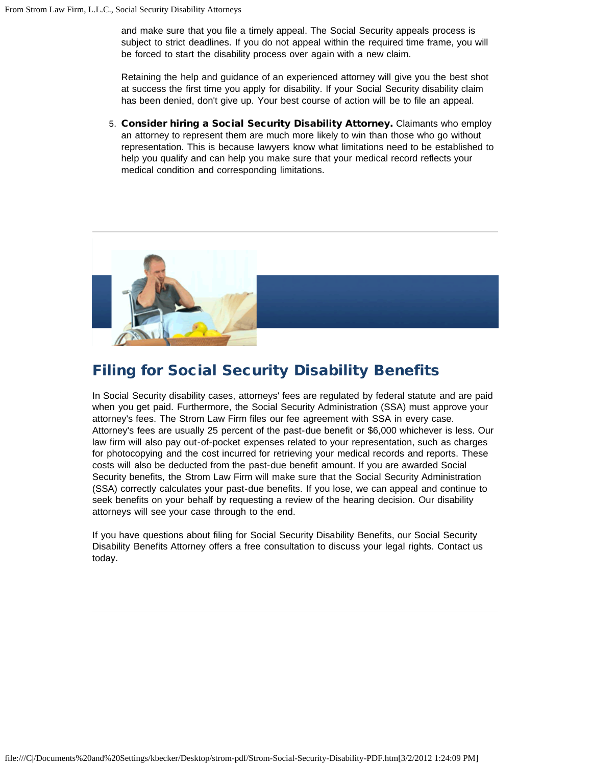and make sure that you file a timely appeal. The Social Security appeals process is subject to strict deadlines. If you do not appeal within the required time frame, you will be forced to start the disability process over again with a new claim.

Retaining the help and guidance of an experienced attorney will give you the best shot at success the first time you apply for disability. If your Social Security disability claim has been denied, don't give up. Your best course of action will be to file an appeal.

5. Consider hiring a Social Security Disability Attorney. Claimants who employ an attorney to represent them are much more likely to win than those who go without representation. This is because lawyers know what limitations need to be established to help you qualify and can help you make sure that your medical record reflects your medical condition and corresponding limitations.



## Filing for Social Security Disability Benefits

In Social Security disability cases, attorneys' fees are regulated by federal statute and are paid when you get paid. Furthermore, the Social Security Administration (SSA) must approve your attorney's fees. The Strom Law Firm files our fee agreement with SSA in every case. Attorney's fees are usually 25 percent of the past-due benefit or \$6,000 whichever is less. Our law firm will also pay out-of-pocket expenses related to your representation, such as charges for photocopying and the cost incurred for retrieving your medical records and reports. These costs will also be deducted from the past-due benefit amount. If you are awarded Social Security benefits, the Strom Law Firm will make sure that the Social Security Administration (SSA) correctly calculates your past-due benefits. If you lose, we can appeal and continue to seek benefits on your behalf by requesting a review of the hearing decision. Our disability attorneys will see your case through to the end.

If you have questions about filing for Social Security Disability Benefits, our Social Security Disability Benefits Attorney offers a free consultation to discuss your legal rights. Contact us today.